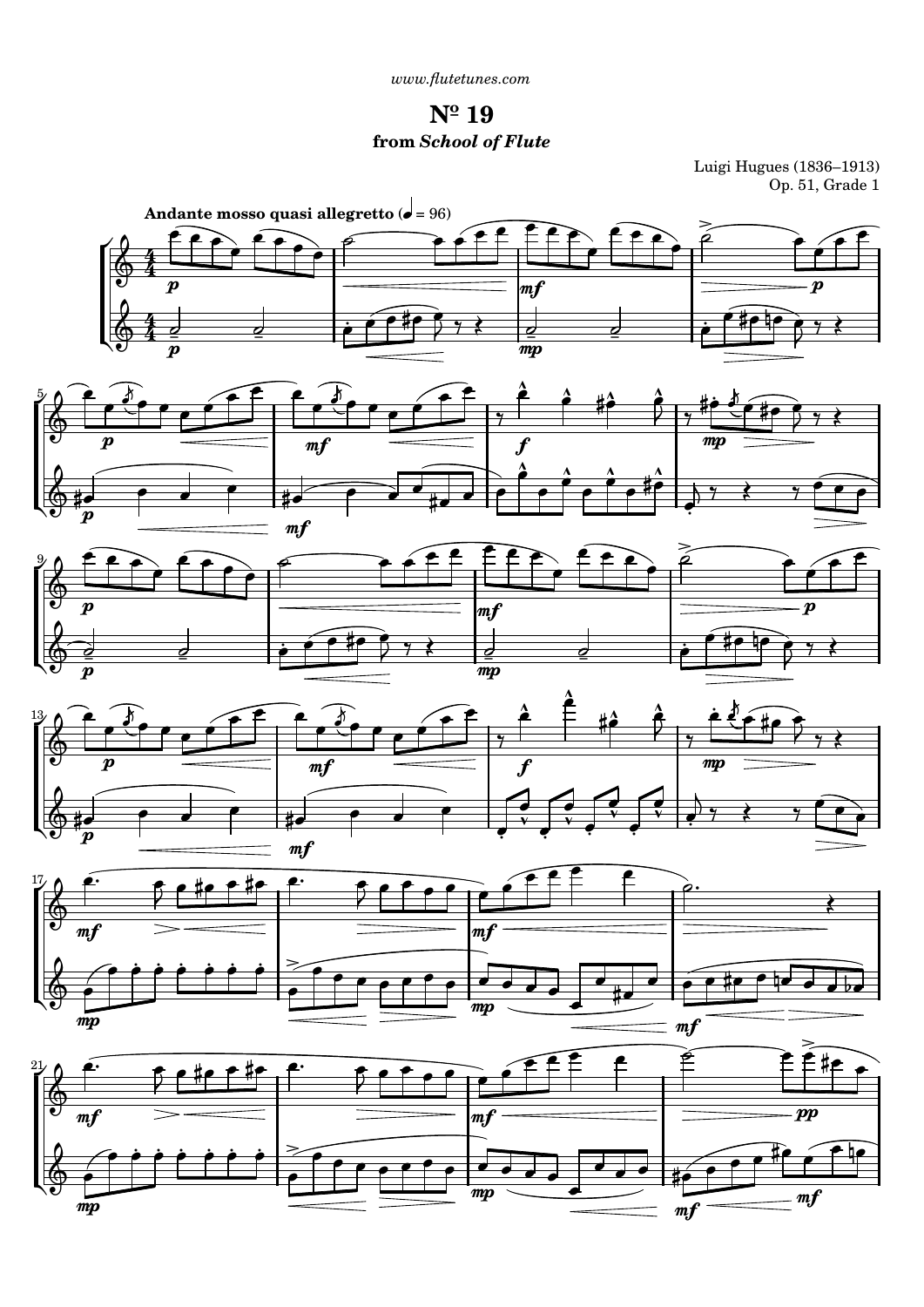**Nº 19 from** *School of Flute*

 $\frac{5}{5}$ 

5

Ľ

 $\frac{9}{5}$ 

Ľ

13

Ľ

17

Ľ

 $\frac{21}{15}$ 

Ľ

Luigi Hugues (1836–1913) Op. 51, Grade 1

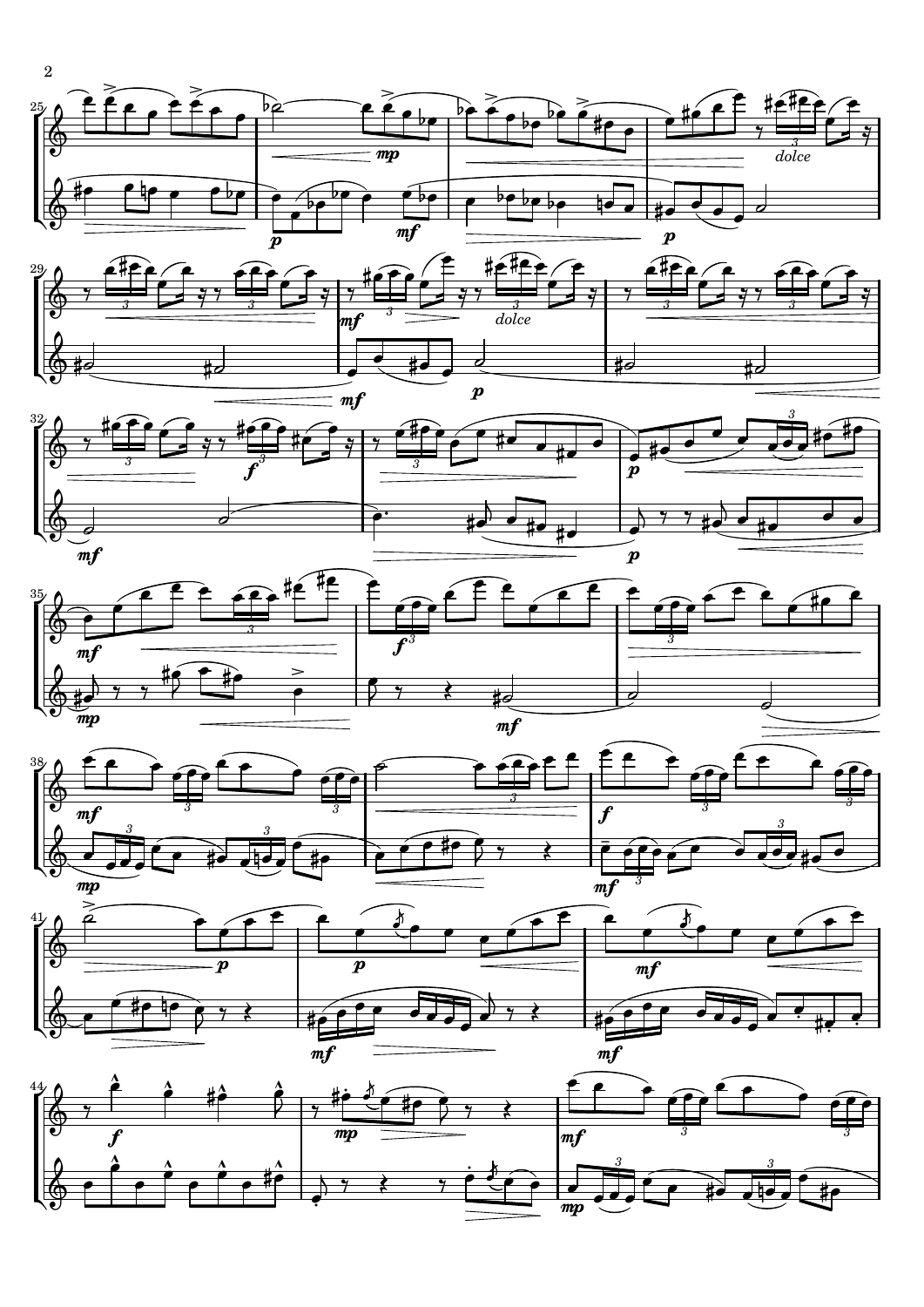